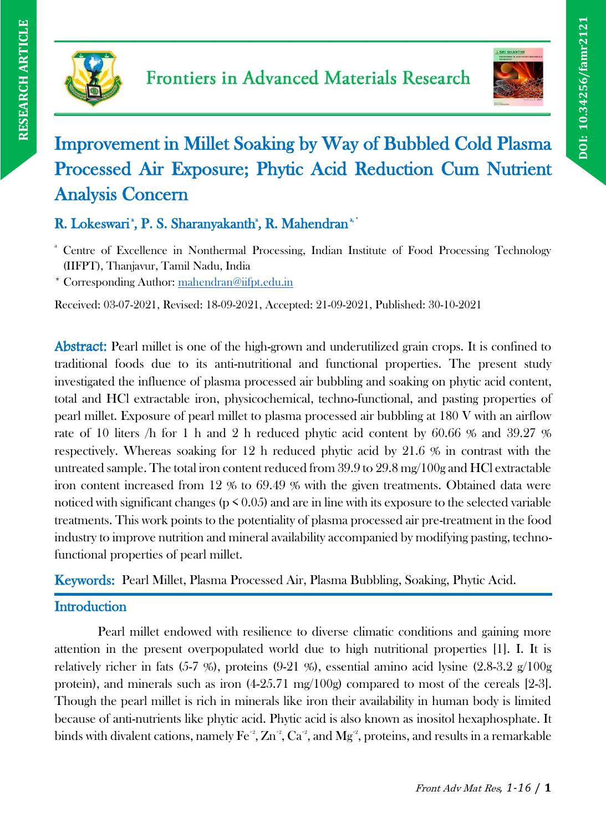



# Improvement in Millet Soaking by Way of Bubbled Cold Plasma Processed Air Exposure; Phytic Acid Reduction Cum Nutrient Analysis Concern

# R. Lokeswari<sup>\*</sup>, P. S. Sharanyakanth<sup>\*</sup>, R. Mahendran<sup>\*</sup>

<sup>a</sup> Centre of Excellence in Nonthermal Processing, Indian Institute of Food Processing Technology (IIFPT), Thanjavur, Tamil Nadu, India

\* Corresponding Author: [mahendran@iifpt.edu.in](mailto:mahendran@iifpt.edu.in)

Received: 03-07-2021, Revised: 18-09-2021, Accepted: 21-09-2021, Published: 30-10-2021

Abstract: Pearl millet is one of the high-grown and underutilized grain crops. It is confined to traditional foods due to its anti-nutritional and functional properties. The present study investigated the influence of plasma processed air bubbling and soaking on phytic acid content, total and HCl extractable iron, physicochemical, techno-functional, and pasting properties of pearl millet. Exposure of pearl millet to plasma processed air bubbling at 180 V with an airflow rate of 10 liters /h for 1 h and 2 h reduced phytic acid content by 60.66 % and 39.27 % respectively. Whereas soaking for 12 h reduced phytic acid by 21.6 % in contrast with the untreated sample. The total iron content reduced from 39.9 to 29.8 mg/100g and HCl extractable iron content increased from 12 % to 69.49 % with the given treatments. Obtained data were noticed with significant changes ( $p \le 0.05$ ) and are in line with its exposure to the selected variable treatments. This work points to the potentiality of plasma processed air pre-treatment in the food industry to improve nutrition and mineral availability accompanied by modifying pasting, technofunctional properties of pearl millet.

Keywords: Pearl Millet, Plasma Processed Air, Plasma Bubbling, Soaking, Phytic Acid.

# **Introduction**

Pearl millet endowed with resilience to diverse climatic conditions and gaining more attention in the present overpopulated world due to high nutritional properties [1]. I. It is relatively richer in fats  $(5-7, %)$ , proteins  $(9-21, %)$ , essential amino acid lysine  $(2.8-3.2, g/100g)$ protein), and minerals such as iron (4-25.71 mg/100g) compared to most of the cereals [2-3]. Though the pearl millet is rich in minerals like iron their availability in human body is limited because of anti-nutrients like phytic acid. Phytic acid is also known as inositol hexaphosphate. It binds with divalent cations, namely  $\mathrm{Fe}^2$ ,  $\mathrm{Zn}^2$ ,  $\mathrm{Ca}^2$ , and  $\mathrm{Mg}^2$ , proteins, and results in a remarkable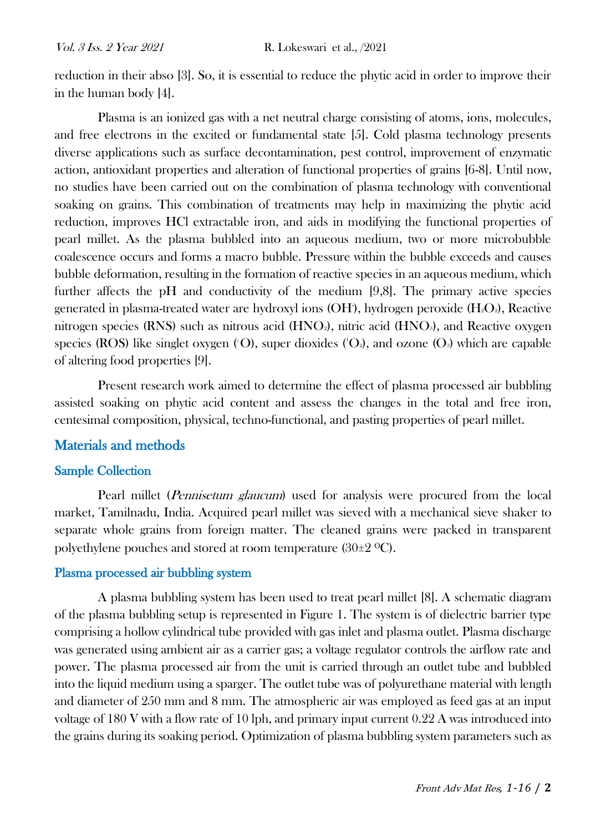reduction in their abso [3]. So, it is essential to reduce the phytic acid in order to improve their in the human body [4].

Plasma is an ionized gas with a net neutral charge consisting of atoms, ions, molecules, and free electrons in the excited or fundamental state [5]. Cold plasma technology presents diverse applications such as surface decontamination, pest control, improvement of enzymatic action, antioxidant properties and alteration of functional properties of grains [6-8]. Until now, no studies have been carried out on the combination of plasma technology with conventional soaking on grains. This combination of treatments may help in maximizing the phytic acid reduction, improves HCl extractable iron, and aids in modifying the functional properties of pearl millet. As the plasma bubbled into an aqueous medium, two or more microbubble coalescence occurs and forms a macro bubble. Pressure within the bubble exceeds and causes bubble deformation, resulting in the formation of reactive species in an aqueous medium, which further affects the pH and conductivity of the medium [9,8]. The primary active species generated in plasma-treated water are hydroxyl ions (OH), hydrogen peroxide (H2O2), Reactive nitrogen species (RNS) such as nitrous acid  $(HNO<sub>2</sub>)$ , nitric acid  $(HNO<sub>3</sub>)$ , and Reactive oxygen species (ROS) like singlet oxygen (O), super dioxides ('O<sub>2</sub>), and ozone (O<sub>3</sub>) which are capable of altering food properties [9].

Present research work aimed to determine the effect of plasma processed air bubbling assisted soaking on phytic acid content and assess the changes in the total and free iron, centesimal composition, physical, techno-functional, and pasting properties of pearl millet.

# Materials and methods

#### Sample Collection

Pearl millet (Pennisetum glaucum) used for analysis were procured from the local market, Tamilnadu, India. Acquired pearl millet was sieved with a mechanical sieve shaker to separate whole grains from foreign matter. The cleaned grains were packed in transparent polyethylene pouches and stored at room temperature  $(30\pm2~\mathrm{^oC})$ .

#### Plasma processed air bubbling system

A plasma bubbling system has been used to treat pearl millet [8]. A schematic diagram of the plasma bubbling setup is represented in Figure 1. The system is of dielectric barrier type comprising a hollow cylindrical tube provided with gas inlet and plasma outlet. Plasma discharge was generated using ambient air as a carrier gas; a voltage regulator controls the airflow rate and power. The plasma processed air from the unit is carried through an outlet tube and bubbled into the liquid medium using a sparger. The outlet tube was of polyurethane material with length and diameter of 250 mm and 8 mm. The atmospheric air was employed as feed gas at an input voltage of  $180$  V with a flow rate of  $10$  lph, and primary input current  $0.22$  A was introduced into the grains during its soaking period. Optimization of plasma bubbling system parameters such as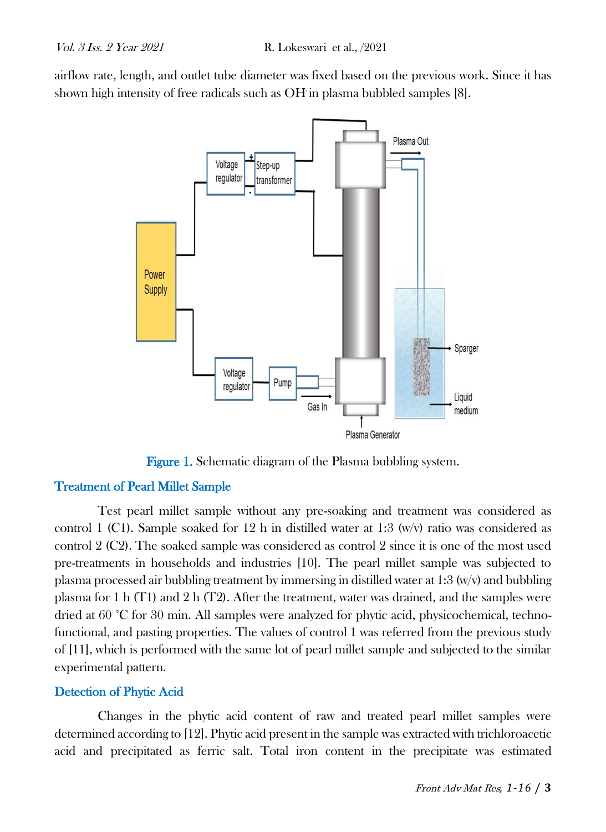airflow rate, length, and outlet tube diameter was fixed based on the previous work. Since it has shown high intensity of free radicals such as OH in plasma bubbled samples [8].



Figure 1. Schematic diagram of the Plasma bubbling system.

# Treatment of Pearl Millet Sample

Test pearl millet sample without any pre-soaking and treatment was considered as control 1 (C1). Sample soaked for 12 h in distilled water at 1:3 (w/v) ratio was considered as control 2 (C2). The soaked sample was considered as control 2 since it is one of the most used pre-treatments in households and industries [10]. The pearl millet sample was subjected to plasma processed air bubbling treatment by immersing in distilled water at 1:3 (w/v) and bubbling plasma for 1 h (T1) and 2 h (T2). After the treatment, water was drained, and the samples were dried at 60 °C for 30 min. All samples were analyzed for phytic acid, physicochemical, technofunctional, and pasting properties. The values of control 1 was referred from the previous study of [11], which is performed with the same lot of pearl millet sample and subjected to the similar experimental pattern.

## Detection of Phytic Acid

Changes in the phytic acid content of raw and treated pearl millet samples were determined according to [12]. Phytic acid present in the sample was extracted with trichloroacetic acid and precipitated as ferric salt. Total iron content in the precipitate was estimated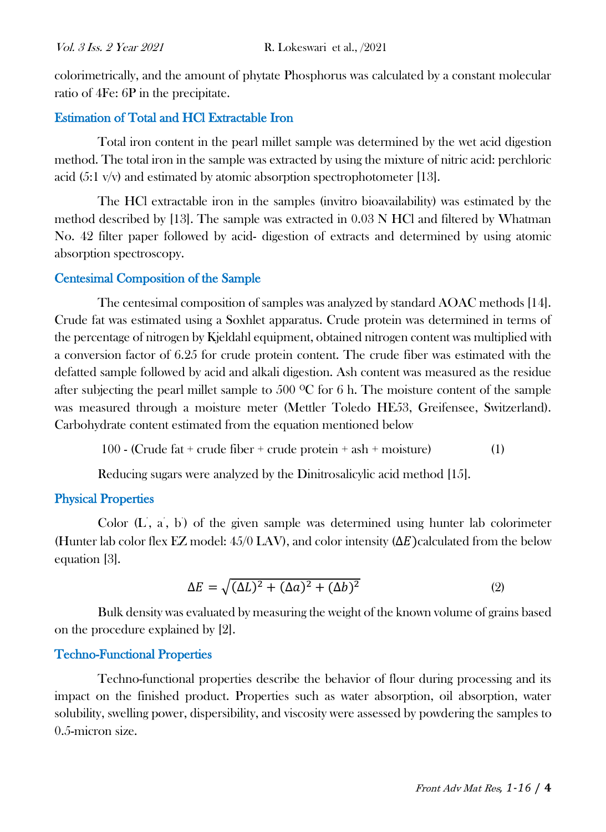colorimetrically, and the amount of phytate Phosphorus was calculated by a constant molecular ratio of 4Fe: 6P in the precipitate.

## Estimation of Total and HCl Extractable Iron

Total iron content in the pearl millet sample was determined by the wet acid digestion method. The total iron in the sample was extracted by using the mixture of nitric acid: perchloric acid (5:1 v/v) and estimated by atomic absorption spectrophotometer [13].

The HCl extractable iron in the samples (invitro bioavailability) was estimated by the method described by [13]. The sample was extracted in 0.03 N HCl and filtered by Whatman No. 42 filter paper followed by acid- digestion of extracts and determined by using atomic absorption spectroscopy.

#### Centesimal Composition of the Sample

The centesimal composition of samples was analyzed by standard AOAC methods [14]. Crude fat was estimated using a Soxhlet apparatus. Crude protein was determined in terms of the percentage of nitrogen by Kjeldahl equipment, obtained nitrogen content was multiplied with a conversion factor of 6.25 for crude protein content. The crude fiber was estimated with the defatted sample followed by acid and alkali digestion. Ash content was measured as the residue after subjecting the pearl millet sample to 500  $\rm{^{\circ}C}$  for 6 h. The moisture content of the sample was measured through a moisture meter (Mettler Toledo HE53, Greifensee, Switzerland). Carbohydrate content estimated from the equation mentioned below

 $100$  - (Crude fat + crude fiber + crude protein + ash + moisture) (1)

Reducing sugars were analyzed by the Dinitrosalicylic acid method [15].

# Physical Properties

Color  $(L, a, b)$  of the given sample was determined using hunter lab colorimeter (Hunter lab color flex EZ model:  $45/0$  LAV), and color intensity ( $\Delta E$ )calculated from the below equation [3].

$$
\Delta E = \sqrt{(\Delta L)^2 + (\Delta a)^2 + (\Delta b)^2}
$$
 (2)

Bulk density was evaluated by measuring the weight of the known volume of grains based on the procedure explained by [2].

#### Techno-Functional Properties

Techno-functional properties describe the behavior of flour during processing and its impact on the finished product. Properties such as water absorption, oil absorption, water solubility, swelling power, dispersibility, and viscosity were assessed by powdering the samples to 0.5-micron size.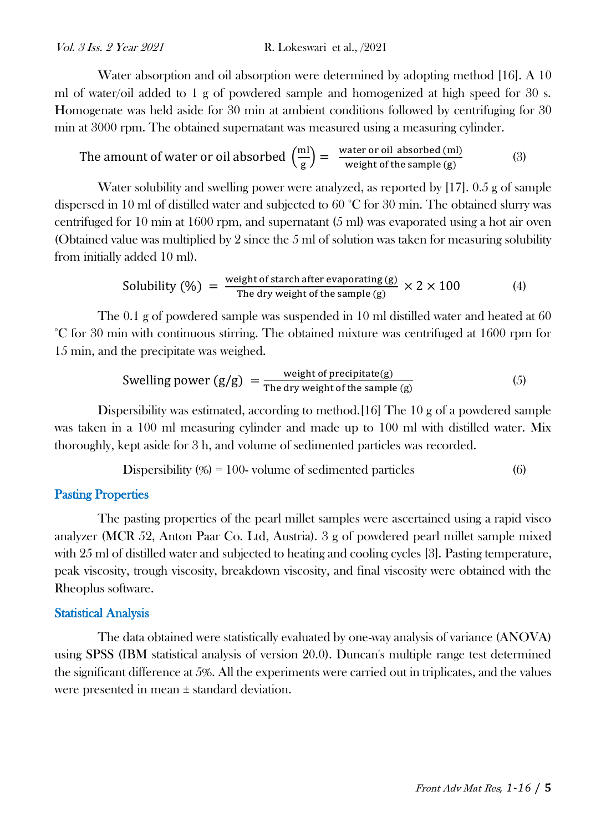Water absorption and oil absorption were determined by adopting method [16]. A 10 ml of water/oil added to 1 g of powdered sample and homogenized at high speed for 30 s. Homogenate was held aside for 30 min at ambient conditions followed by centrifuging for 30 min at 3000 rpm. The obtained supernatant was measured using a measuring cylinder.

The amount of water or oil absorbed 
$$
\left(\frac{ml}{g}\right) = \frac{\text{water or oil absorbed (ml)}}{\text{weight of the sample (g)}}
$$
 (3)

Water solubility and swelling power were analyzed, as reported by [17]. 0.5 g of sample dispersed in 10 ml of distilled water and subjected to 60 °C for 30 min. The obtained slurry was centrifuged for 10 min at 1600 rpm, and supernatant (5 ml) was evaporated using a hot air oven (Obtained value was multiplied by 2 since the 5 ml of solution was taken for measuring solubility from initially added 10 ml).

Solubility (%) = 
$$
\frac{\text{weight of starch after evaporating (g)}}{\text{The dry weight of the sample (g)}} \times 2 \times 100
$$
 (4)

The 0.1 g of powdered sample was suspended in 10 ml distilled water and heated at 60 °C for 30 min with continuous stirring. The obtained mixture was centrifuged at 1600 rpm for 15 min, and the precipitate was weighed.

Swelling power 
$$
(g/g) = \frac{\text{weight of precipitate}(g)}{\text{The dry weight of the sample}(g)}
$$
 (5)

Dispersibility was estimated, according to method.[16] The 10 g of a powdered sample was taken in a 100 ml measuring cylinder and made up to 100 ml with distilled water. Mix thoroughly, kept aside for 3 h, and volume of sedimented particles was recorded.

$$
Dispersibility (%) = 100 \text{ volume of sedimented particles}
$$
\n
$$
(6)
$$

#### Pasting Properties

The pasting properties of the pearl millet samples were ascertained using a rapid visco analyzer (MCR 52, Anton Paar Co. Ltd, Austria). 3 g of powdered pearl millet sample mixed with 25 ml of distilled water and subjected to heating and cooling cycles [3]. Pasting temperature, peak viscosity, trough viscosity, breakdown viscosity, and final viscosity were obtained with the Rheoplus software.

#### Statistical Analysis

The data obtained were statistically evaluated by one-way analysis of variance (ANOVA) using SPSS (IBM statistical analysis of version 20.0). Duncan's multiple range test determined the significant difference at 5%. All the experiments were carried out in triplicates, and the values were presented in mean ± standard deviation.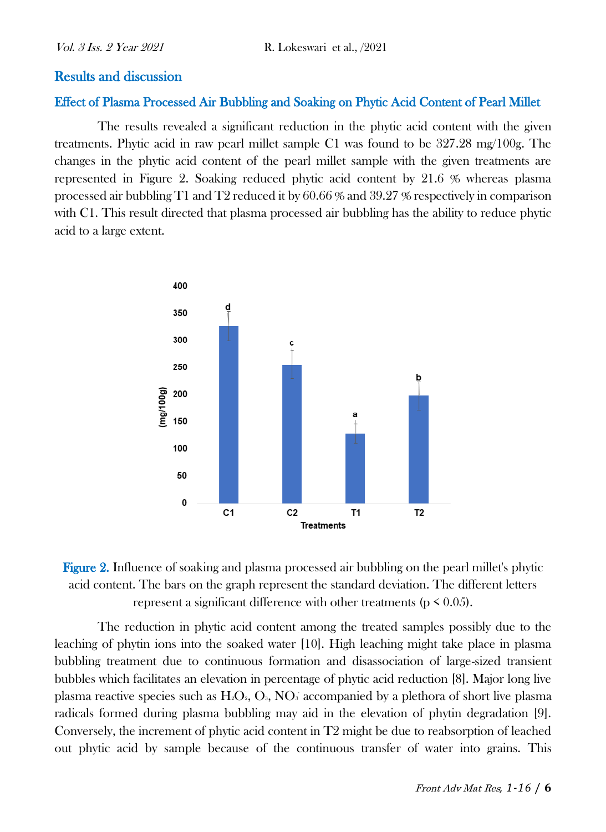#### Results and discussion

#### Effect of Plasma Processed Air Bubbling and Soaking on Phytic Acid Content of Pearl Millet

The results revealed a significant reduction in the phytic acid content with the given treatments. Phytic acid in raw pearl millet sample C1 was found to be 327.28 mg/100g. The changes in the phytic acid content of the pearl millet sample with the given treatments are represented in Figure 2. Soaking reduced phytic acid content by 21.6 % whereas plasma processed air bubbling T1 and T2 reduced it by 60.66 % and 39.27 % respectively in comparison with C1. This result directed that plasma processed air bubbling has the ability to reduce phytic acid to a large extent.





The reduction in phytic acid content among the treated samples possibly due to the leaching of phytin ions into the soaked water [10]. High leaching might take place in plasma bubbling treatment due to continuous formation and disassociation of large-sized transient bubbles which facilitates an elevation in percentage of phytic acid reduction [8]. Major long live plasma reactive species such as  $H_2O_2$ ,  $O_3$ ,  $NO_3$  accompanied by a plethora of short live plasma radicals formed during plasma bubbling may aid in the elevation of phytin degradation [9]. Conversely, the increment of phytic acid content in T2 might be due to reabsorption of leached out phytic acid by sample because of the continuous transfer of water into grains. This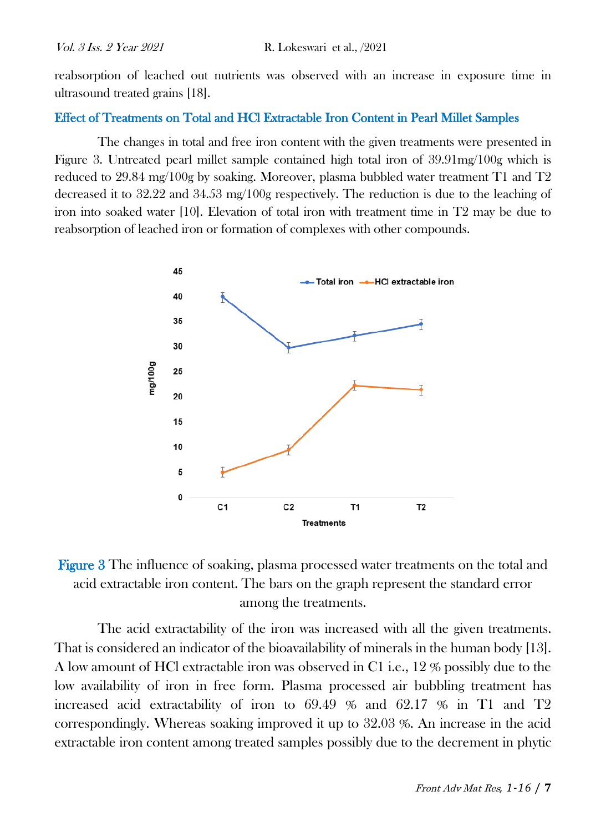reabsorption of leached out nutrients was observed with an increase in exposure time in ultrasound treated grains [18].

#### Effect of Treatments on Total and HCl Extractable Iron Content in Pearl Millet Samples

The changes in total and free iron content with the given treatments were presented in Figure 3. Untreated pearl millet sample contained high total iron of 39.91mg/100g which is reduced to 29.84 mg/100g by soaking. Moreover, plasma bubbled water treatment T1 and T2 decreased it to 32.22 and 34.53 mg/100g respectively. The reduction is due to the leaching of iron into soaked water [10]. Elevation of total iron with treatment time in T2 may be due to reabsorption of leached iron or formation of complexes with other compounds.





The acid extractability of the iron was increased with all the given treatments. That is considered an indicator of the bioavailability of minerals in the human body [13]. A low amount of HCl extractable iron was observed in C1 i.e., 12 % possibly due to the low availability of iron in free form. Plasma processed air bubbling treatment has increased acid extractability of iron to 69.49 % and 62.17 % in T1 and T2 correspondingly. Whereas soaking improved it up to 32.03 %. An increase in the acid extractable iron content among treated samples possibly due to the decrement in phytic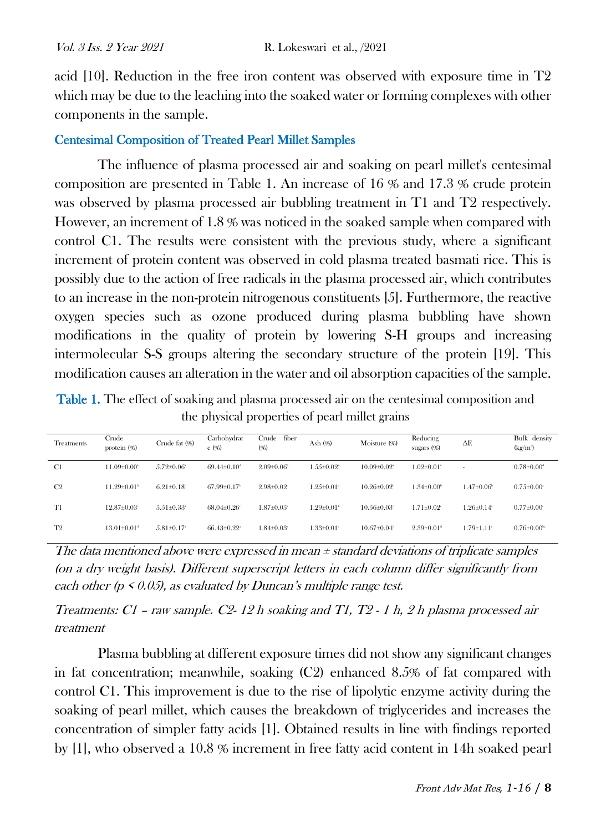acid [10]. Reduction in the free iron content was observed with exposure time in T2 which may be due to the leaching into the soaked water or forming complexes with other components in the sample.

# Centesimal Composition of Treated Pearl Millet Samples

The influence of plasma processed air and soaking on pearl millet's centesimal composition are presented in Table 1. An increase of 16 % and 17.3 % crude protein was observed by plasma processed air bubbling treatment in T1 and T2 respectively. However, an increment of 1.8 % was noticed in the soaked sample when compared with control C1. The results were consistent with the previous study, where a significant increment of protein content was observed in cold plasma treated basmati rice. This is possibly due to the action of free radicals in the plasma processed air, which contributes to an increase in the non-protein nitrogenous constituents [5]. Furthermore, the reactive oxygen species such as ozone produced during plasma bubbling have shown modifications in the quality of protein by lowering S-H groups and increasing intermolecular S-S groups altering the secondary structure of the protein [19]. This modification causes an alteration in the water and oil absorption capacities of the sample.

Table 1. The effect of soaking and plasma processed air on the centesimal composition and the physical properties of pearl millet grains

| <b>Treatments</b> | Crude<br>protein (%)          | Crude fat (%)                | Carbohydrat<br>e (%)        | Crude<br>fiber<br>(96)       | Ash (%)                      | Moisture (%)                  | Reducing<br>sugars $(%$      | ΔE                           | Bulk density<br>$(kg/m^3)$   |
|-------------------|-------------------------------|------------------------------|-----------------------------|------------------------------|------------------------------|-------------------------------|------------------------------|------------------------------|------------------------------|
| C1                | $11.09 \pm 0.00$ <sup>*</sup> | $5.72 \pm 0.06$ <sup>*</sup> | $69.44 \pm 0.10^4$          | $2.09 \pm 0.06^{\circ}$      | $1.55 \pm 0.02$ <sup>*</sup> | $10.09 \pm 0.02$ <sup>*</sup> | $1.02 \pm 0.01$ <sup>*</sup> | $\sim$                       | $0.78 \pm 0.00$ <sup>d</sup> |
| C <sub>2</sub>    | $11.29 \pm 0.01$              | $6.21 \pm 0.18$ <sup>b</sup> | $67.99 \pm 0.17$            | $2.98 \pm 0.02$              | $1.25 \pm 0.01$ <sup>*</sup> | $10.26 \pm 0.02$ <sup>b</sup> | $1.34 \pm 0.00^{\circ}$      | $1.47 \pm 0.06^{\circ}$      | $0.75 \pm 0.00$ <sup>*</sup> |
| T1                | $12.87 \pm 0.03$              | $5.51 \pm 0.33$ <sup>*</sup> | $68.04 \pm 0.26$            | $1.87 \pm 0.05$ <sup>*</sup> | $-29\pm0.01$ <sup>b</sup>    | $10.56 \pm 0.03$              | $1.71 \pm 0.02$              | $1.26 \pm 0.14$ <sup>*</sup> | $0.77 \pm 0.00$ <sup>c</sup> |
| T <sub>2</sub>    | $13.01 \pm 0.01$ <sup>d</sup> | $5.81 \pm 0.17$              | $66.43\pm0.22$ <sup>*</sup> | $1.84 \pm 0.03$ <sup>*</sup> | $1.33 \pm 0.01^{\circ}$      | $10.67 \pm 0.04$ <sup>d</sup> | $2.39 \pm 0.01$ <sup>d</sup> | $1.79 \pm 1.11$ <sup>*</sup> | $0.76 \pm 0.00$ be           |

The data mentioned above were expressed in mean ± standard deviations of triplicate samples (on a dry weight basis). Different superscript letters in each column differ significantly from each other ( $p \le 0.05$ ), as evaluated by Duncan's multiple range test.

Treatments:  $CI$  – raw sample.  $C2$ - 12 h soaking and T1, T2 - 1 h, 2 h plasma processed air treatment

Plasma bubbling at different exposure times did not show any significant changes in fat concentration; meanwhile, soaking (C2) enhanced 8.5% of fat compared with control C1. This improvement is due to the rise of lipolytic enzyme activity during the soaking of pearl millet, which causes the breakdown of triglycerides and increases the concentration of simpler fatty acids [1]. Obtained results in line with findings reported by [1], who observed a 10.8 % increment in free fatty acid content in 14h soaked pearl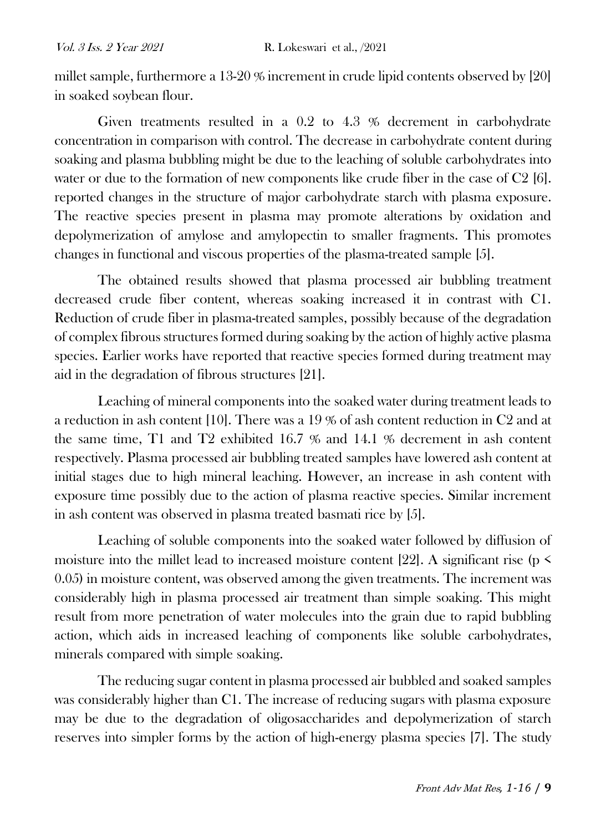millet sample, furthermore a 13-20 % increment in crude lipid contents observed by [20] in soaked soybean flour.

Given treatments resulted in a 0.2 to 4.3 % decrement in carbohydrate concentration in comparison with control. The decrease in carbohydrate content during soaking and plasma bubbling might be due to the leaching of soluble carbohydrates into water or due to the formation of new components like crude fiber in the case of C2 [6]. reported changes in the structure of major carbohydrate starch with plasma exposure. The reactive species present in plasma may promote alterations by oxidation and depolymerization of amylose and amylopectin to smaller fragments. This promotes changes in functional and viscous properties of the plasma-treated sample [5].

The obtained results showed that plasma processed air bubbling treatment decreased crude fiber content, whereas soaking increased it in contrast with C1. Reduction of crude fiber in plasma-treated samples, possibly because of the degradation of complex fibrous structures formed during soaking by the action of highly active plasma species. Earlier works have reported that reactive species formed during treatment may aid in the degradation of fibrous structures [21].

Leaching of mineral components into the soaked water during treatment leads to a reduction in ash content [10]. There was a 19 % of ash content reduction in C2 and at the same time, T1 and T2 exhibited 16.7 % and 14.1 % decrement in ash content respectively. Plasma processed air bubbling treated samples have lowered ash content at initial stages due to high mineral leaching. However, an increase in ash content with exposure time possibly due to the action of plasma reactive species. Similar increment in ash content was observed in plasma treated basmati rice by [5].

Leaching of soluble components into the soaked water followed by diffusion of moisture into the millet lead to increased moisture content [22]. A significant rise ( $p \le$ 0.05) in moisture content, was observed among the given treatments. The increment was considerably high in plasma processed air treatment than simple soaking. This might result from more penetration of water molecules into the grain due to rapid bubbling action, which aids in increased leaching of components like soluble carbohydrates, minerals compared with simple soaking.

The reducing sugar content in plasma processed air bubbled and soaked samples was considerably higher than C1. The increase of reducing sugars with plasma exposure may be due to the degradation of oligosaccharides and depolymerization of starch reserves into simpler forms by the action of high-energy plasma species [7]. The study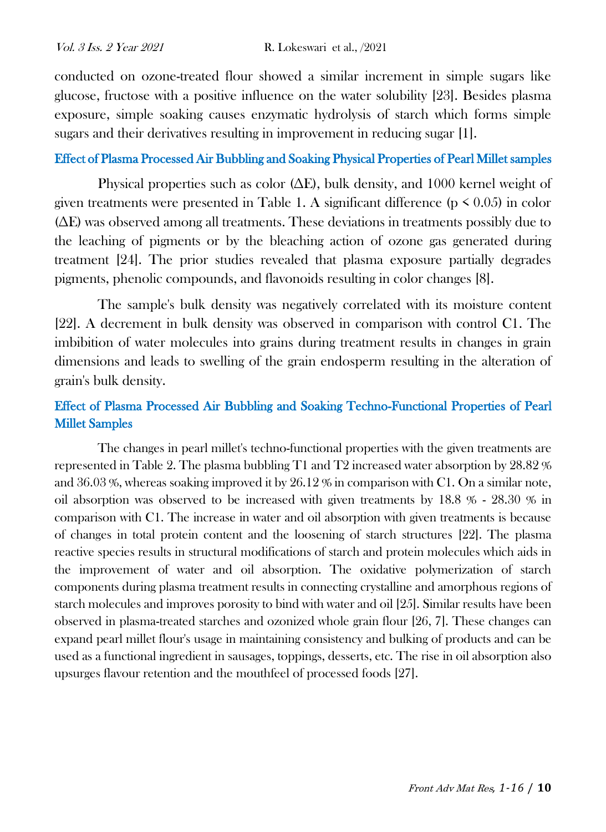conducted on ozone-treated flour showed a similar increment in simple sugars like glucose, fructose with a positive influence on the water solubility [23]. Besides plasma exposure, simple soaking causes enzymatic hydrolysis of starch which forms simple sugars and their derivatives resulting in improvement in reducing sugar [1].

#### Effect of Plasma Processed Air Bubbling and Soaking Physical Properties of Pearl Millet samples

Physical properties such as color ( $\Delta E$ ), bulk density, and 1000 kernel weight of given treatments were presented in Table 1. A significant difference ( $p \le 0.05$ ) in color (∆E) was observed among all treatments. These deviations in treatments possibly due to the leaching of pigments or by the bleaching action of ozone gas generated during treatment [24]. The prior studies revealed that plasma exposure partially degrades pigments, phenolic compounds, and flavonoids resulting in color changes [8].

The sample's bulk density was negatively correlated with its moisture content [22]. A decrement in bulk density was observed in comparison with control C1. The imbibition of water molecules into grains during treatment results in changes in grain dimensions and leads to swelling of the grain endosperm resulting in the alteration of grain's bulk density.

# Effect of Plasma Processed Air Bubbling and Soaking Techno-Functional Properties of Pearl Millet Samples

The changes in pearl millet's techno-functional properties with the given treatments are represented in Table 2. The plasma bubbling T1 and T2 increased water absorption by 28.82 % and  $36.03\%$ , whereas soaking improved it by  $26.12\%$  in comparison with C1. On a similar note, oil absorption was observed to be increased with given treatments by  $18.8\%$  -  $28.30\%$  in comparison with C1. The increase in water and oil absorption with given treatments is because of changes in total protein content and the loosening of starch structures [22]. The plasma reactive species results in structural modifications of starch and protein molecules which aids in the improvement of water and oil absorption. The oxidative polymerization of starch components during plasma treatment results in connecting crystalline and amorphous regions of starch molecules and improves porosity to bind with water and oil [25]. Similar results have been observed in plasma-treated starches and ozonized whole grain flour [26, 7]. These changes can expand pearl millet flour's usage in maintaining consistency and bulking of products and can be used as a functional ingredient in sausages, toppings, desserts, etc. The rise in oil absorption also upsurges flavour retention and the mouthfeel of processed foods [27].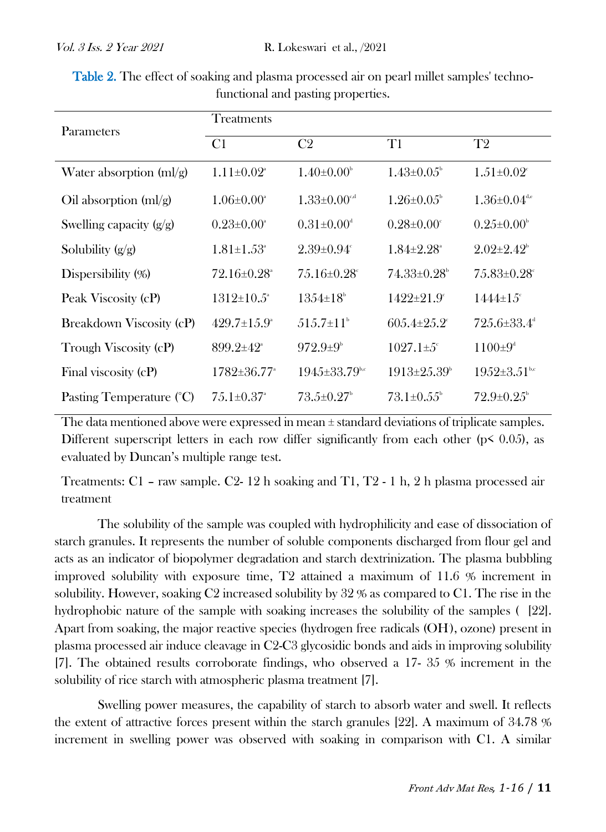| Parameters                   | Treatments                    |                                  |                              |                                 |  |  |  |  |
|------------------------------|-------------------------------|----------------------------------|------------------------------|---------------------------------|--|--|--|--|
|                              | C <sub>1</sub>                | C <sub>2</sub>                   | T1                           | T <sub>2</sub>                  |  |  |  |  |
| Water absorption $(ml/g)$    | $1.11 \pm 0.02$ <sup>a</sup>  | $1.40\pm0.00^{\circ}$            | $1.43 \pm 0.05$              | $1.51 \pm 0.02$ <sup>c</sup>    |  |  |  |  |
| Oil absorption $\text{mI/g}$ | $1.06 \pm 0.00^{\circ}$       | $1.33 \pm 0.00$ <sup>c,d</sup>   | $1.26 \pm 0.05^{\circ}$      | $1.36 \pm 0.04$ <sup>d,e</sup>  |  |  |  |  |
| Swelling capacity $(g/g)$    | $0.23 \pm 0.00^{\circ}$       | $0.31 \pm 0.00$ <sup>d</sup>     | $0.28 \pm 0.00^{\circ}$      | $0.25 \pm 0.00^{\circ}$         |  |  |  |  |
| Solubility $(g/g)$           | $1.81 \pm 1.53^{\circ}$       | $2.39 \pm 0.94$ <sup>c</sup>     | $1.84 \pm 2.28$ <sup>a</sup> | $2.02 \pm 2.42$ <sup>b</sup>    |  |  |  |  |
| Dispersibility $(\%)$        | $72.16\pm0.28^{\circ}$        | $7.5.16\pm0.28^{\circ}$          | $74.33\pm0.28^{\circ}$       | $75.83 \pm 0.28$ <sup>c</sup>   |  |  |  |  |
| Peak Viscosity (cP)          | $1312 \pm 10.5$ <sup>a</sup>  | $13.54 \pm 18^{\circ}$           | $1422 \pm 21.9$ <sup>c</sup> | $1444 \pm 15^{\circ}$           |  |  |  |  |
| Breakdown Viscosity (cP)     | $429.7 \pm 1.5.9^{\circ}$     | $.515.7 \pm 11^{\circ}$          | $60.5.4 \pm 2.5.2$           | $725.6 \pm 33.4$ <sup>d</sup>   |  |  |  |  |
| Trough Viscosity (cP)        | $899.2 \pm 42$ <sup>a</sup>   | $972.9 \pm 9^{\circ}$            | $1027.1 \pm 5$ <sup>c</sup>  | $1100 \pm 9^4$                  |  |  |  |  |
| Final viscosity (cP)         | 1782±36.77 <sup>a</sup>       | $194.5 \pm 33.79$ <sup>b,c</sup> | $1913\pm 25.39^{\circ}$      | $19.52 \pm 3.51$ <sub>b,c</sub> |  |  |  |  |
| Pasting Temperature (°C)     | $7.5.1 \pm 0.37$ <sup>a</sup> | $73.5 \pm 0.27$                  | $73.1 \pm 0.55^{\circ}$      | $72.9 \pm 0.25$                 |  |  |  |  |

Table 2. The effect of soaking and plasma processed air on pearl millet samples' technofunctional and pasting properties.

The data mentioned above were expressed in mean  $\pm$  standard deviations of triplicate samples. Different superscript letters in each row differ significantly from each other ( $p \le 0.05$ ), as evaluated by Duncan's multiple range test.

Treatments: C1 – raw sample. C2- 12 h soaking and T1, T2 - 1 h, 2 h plasma processed air treatment

The solubility of the sample was coupled with hydrophilicity and ease of dissociation of starch granules. It represents the number of soluble components discharged from flour gel and acts as an indicator of biopolymer degradation and starch dextrinization. The plasma bubbling improved solubility with exposure time, T2 attained a maximum of 11.6 % increment in solubility. However, soaking C2 increased solubility by 32 % as compared to C1. The rise in the hydrophobic nature of the sample with soaking increases the solubility of the samples ( [22]. Apart from soaking, the major reactive species (hydrogen free radicals (OH. ), ozone) present in plasma processed air induce cleavage in C2-C3 glycosidic bonds and aids in improving solubility [7]. The obtained results corroborate findings, who observed a 17- 35 % increment in the solubility of rice starch with atmospheric plasma treatment [7].

Swelling power measures, the capability of starch to absorb water and swell. It reflects the extent of attractive forces present within the starch granules [22]. A maximum of 34.78 % increment in swelling power was observed with soaking in comparison with C1. A similar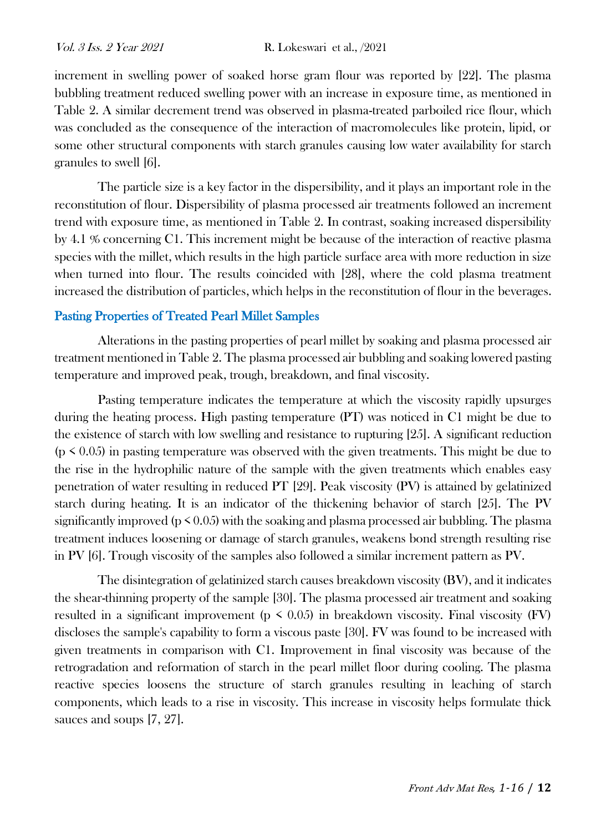increment in swelling power of soaked horse gram flour was reported by [22]. The plasma bubbling treatment reduced swelling power with an increase in exposure time, as mentioned in Table 2. A similar decrement trend was observed in plasma-treated parboiled rice flour, which was concluded as the consequence of the interaction of macromolecules like protein, lipid, or some other structural components with starch granules causing low water availability for starch granules to swell [6].

The particle size is a key factor in the dispersibility, and it plays an important role in the reconstitution of flour. Dispersibility of plasma processed air treatments followed an increment trend with exposure time, as mentioned in Table 2. In contrast, soaking increased dispersibility by 4.1 % concerning C1. This increment might be because of the interaction of reactive plasma species with the millet, which results in the high particle surface area with more reduction in size when turned into flour. The results coincided with [28], where the cold plasma treatment increased the distribution of particles, which helps in the reconstitution of flour in the beverages.

# Pasting Properties of Treated Pearl Millet Samples

Alterations in the pasting properties of pearl millet by soaking and plasma processed air treatment mentioned in Table 2. The plasma processed air bubbling and soaking lowered pasting temperature and improved peak, trough, breakdown, and final viscosity.

Pasting temperature indicates the temperature at which the viscosity rapidly upsurges during the heating process. High pasting temperature (PT) was noticed in C1 might be due to the existence of starch with low swelling and resistance to rupturing [25]. A significant reduction  $(p \le 0.05)$  in pasting temperature was observed with the given treatments. This might be due to the rise in the hydrophilic nature of the sample with the given treatments which enables easy penetration of water resulting in reduced PT [29]. Peak viscosity (PV) is attained by gelatinized starch during heating. It is an indicator of the thickening behavior of starch [25]. The PV significantly improved ( $p \le 0.05$ ) with the soaking and plasma processed air bubbling. The plasma treatment induces loosening or damage of starch granules, weakens bond strength resulting rise in PV [6]. Trough viscosity of the samples also followed a similar increment pattern as PV.

The disintegration of gelatinized starch causes breakdown viscosity (BV), and it indicates the shear-thinning property of the sample [30]. The plasma processed air treatment and soaking resulted in a significant improvement ( $p \leq 0.05$ ) in breakdown viscosity. Final viscosity (FV) discloses the sample's capability to form a viscous paste [30]. FV was found to be increased with given treatments in comparison with C1. Improvement in final viscosity was because of the retrogradation and reformation of starch in the pearl millet floor during cooling. The plasma reactive species loosens the structure of starch granules resulting in leaching of starch components, which leads to a rise in viscosity. This increase in viscosity helps formulate thick sauces and soups [7, 27].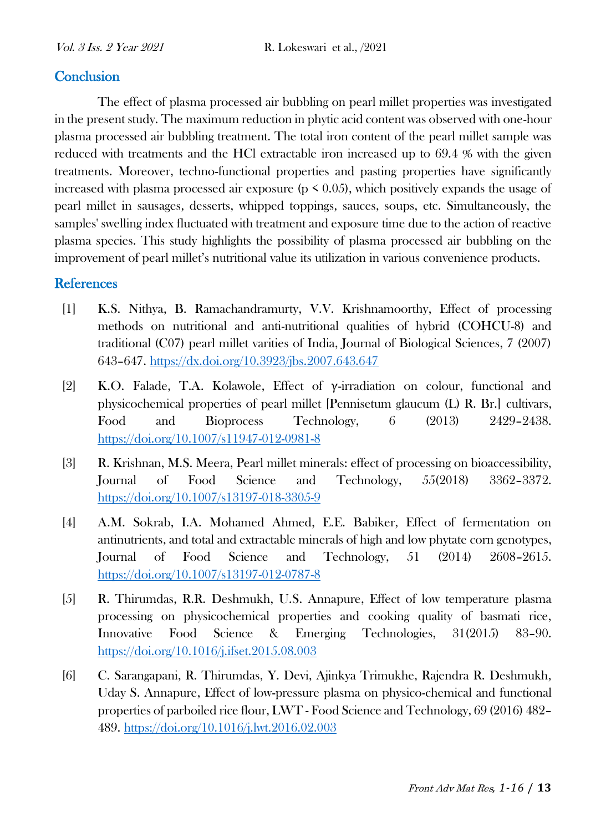# **Conclusion**

The effect of plasma processed air bubbling on pearl millet properties was investigated in the present study. The maximum reduction in phytic acid content was observed with one-hour plasma processed air bubbling treatment. The total iron content of the pearl millet sample was reduced with treatments and the HCl extractable iron increased up to 69.4 % with the given treatments. Moreover, techno-functional properties and pasting properties have significantly increased with plasma processed air exposure ( $p \le 0.05$ ), which positively expands the usage of pearl millet in sausages, desserts, whipped toppings, sauces, soups, etc. Simultaneously, the samples' swelling index fluctuated with treatment and exposure time due to the action of reactive plasma species. This study highlights the possibility of plasma processed air bubbling on the improvement of pearl millet's nutritional value its utilization in various convenience products.

## **References**

- [1] K.S. Nithya, B. Ramachandramurty, V.V. Krishnamoorthy, Effect of processing methods on nutritional and anti-nutritional qualities of hybrid (COHCU-8) and traditional (C07) pearl millet varities of India, Journal of Biological Sciences, 7 (2007) 643–647.<https://dx.doi.org/10.3923/jbs.2007.643.647>
- [2] K.O. Falade, T.A. Kolawole, Effect of γ-irradiation on colour, functional and physicochemical properties of pearl millet [Pennisetum glaucum (L) R. Br.] cultivars, Food and Bioprocess Technology, 6 (2013) 2429–2438. <https://doi.org/10.1007/s11947-012-0981-8>
- [3] R. Krishnan, M.S. Meera, Pearl millet minerals: effect of processing on bioaccessibility, Journal of Food Science and Technology, 55(2018) 3362–3372. <https://doi.org/10.1007/s13197-018-3305-9>
- [4] A.M. Sokrab, I.A. Mohamed Ahmed, E.E. Babiker, Effect of fermentation on antinutrients, and total and extractable minerals of high and low phytate corn genotypes, Journal of Food Science and Technology, 51 (2014) 2608–2615. <https://doi.org/10.1007/s13197-012-0787-8>
- [5] R. Thirumdas, R.R. Deshmukh, U.S. Annapure, Effect of low temperature plasma processing on physicochemical properties and cooking quality of basmati rice, Innovative Food Science & Emerging Technologies, 31(2015) 83–90. <https://doi.org/10.1016/j.ifset.2015.08.003>
- [6] C. Sarangapani, R. Thirumdas, Y. Devi, Ajinkya Trimukhe, Rajendra R. Deshmukh, Uday S. Annapure, Effect of low-pressure plasma on physico-chemical and functional properties of parboiled rice flour, LWT - Food Science and Technology, 69 (2016) 482– 489.<https://doi.org/10.1016/j.lwt.2016.02.003>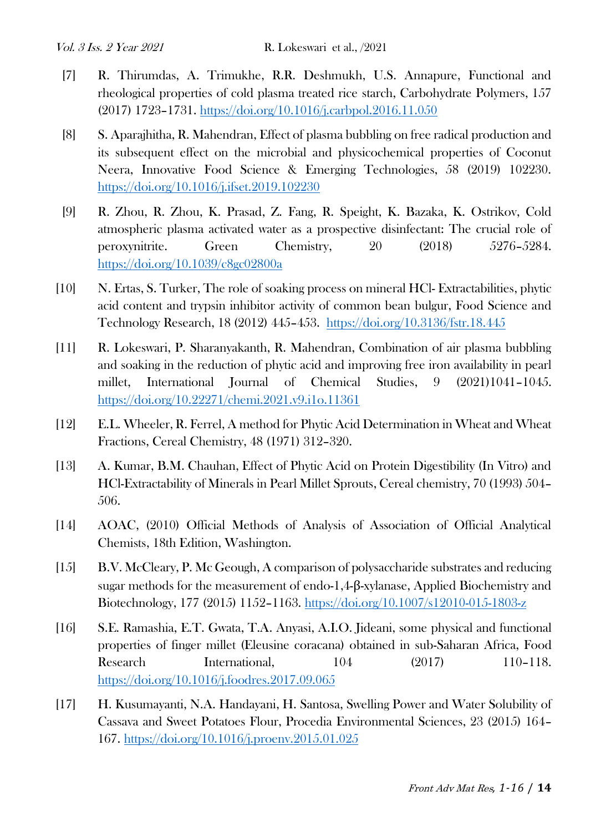- [7] R. Thirumdas, A. Trimukhe, R.R. Deshmukh, U.S. Annapure, Functional and rheological properties of cold plasma treated rice starch, Carbohydrate Polymers, 157 (2017) 1723–1731.<https://doi.org/10.1016/j.carbpol.2016.11.050>
- [8] S. Aparajhitha, R. Mahendran, Effect of plasma bubbling on free radical production and its subsequent effect on the microbial and physicochemical properties of Coconut Neera, Innovative Food Science & Emerging Technologies, 58 (2019) 102230. <https://doi.org/10.1016/j.ifset.2019.102230>
- [9] R. Zhou, R. Zhou, K. Prasad, Z. Fang, R. Speight, K. Bazaka, K. Ostrikov, Cold atmospheric plasma activated water as a prospective disinfectant: The crucial role of peroxynitrite. Green Chemistry, 20 (2018) 5276–5284. <https://doi.org/10.1039/c8gc02800a>
- [10] N. Ertas, S. Turker, The role of soaking process on mineral HCl- Extractabilities, phytic acid content and trypsin inhibitor activity of common bean bulgur, Food Science and Technology Research, 18 (2012) 445–453. <https://doi.org/10.3136/fstr.18.445>
- [11] R. Lokeswari, P. Sharanyakanth, R. Mahendran, Combination of air plasma bubbling and soaking in the reduction of phytic acid and improving free iron availability in pearl millet, International Journal of Chemical Studies, 9 (2021)1041–1045. <https://doi.org/10.22271/chemi.2021.v9.i1o.11361>
- [12] E.L. Wheeler, R. Ferrel, A method for Phytic Acid Determination in Wheat and Wheat Fractions, Cereal Chemistry, 48 (1971) 312–320.
- [13] A. Kumar, B.M. Chauhan, Effect of Phytic Acid on Protein Digestibility (In Vitro) and HCl-Extractability of Minerals in Pearl Millet Sprouts, Cereal chemistry, 70 (1993) 504– 506.
- [14] AOAC, (2010) Official Methods of Analysis of Association of Official Analytical Chemists, 18th Edition, Washington.
- [15] B.V. McCleary, P. Mc Geough, A comparison of polysaccharide substrates and reducing sugar methods for the measurement of endo-1,4-β-xylanase, Applied Biochemistry and Biotechnology, 177 (2015) 1152–1163.<https://doi.org/10.1007/s12010-015-1803-z>
- [16] S.E. Ramashia, E.T. Gwata, T.A. Anyasi, A.I.O. Jideani, some physical and functional properties of finger millet (Eleusine coracana) obtained in sub-Saharan Africa, Food Research International, 104 (2017) 110–118. <https://doi.org/10.1016/j.foodres.2017.09.065>
- [17] H. Kusumayanti, N.A. Handayani, H. Santosa, Swelling Power and Water Solubility of Cassava and Sweet Potatoes Flour, Procedia Environmental Sciences, 23 (2015) 164– 167.<https://doi.org/10.1016/j.proenv.2015.01.025>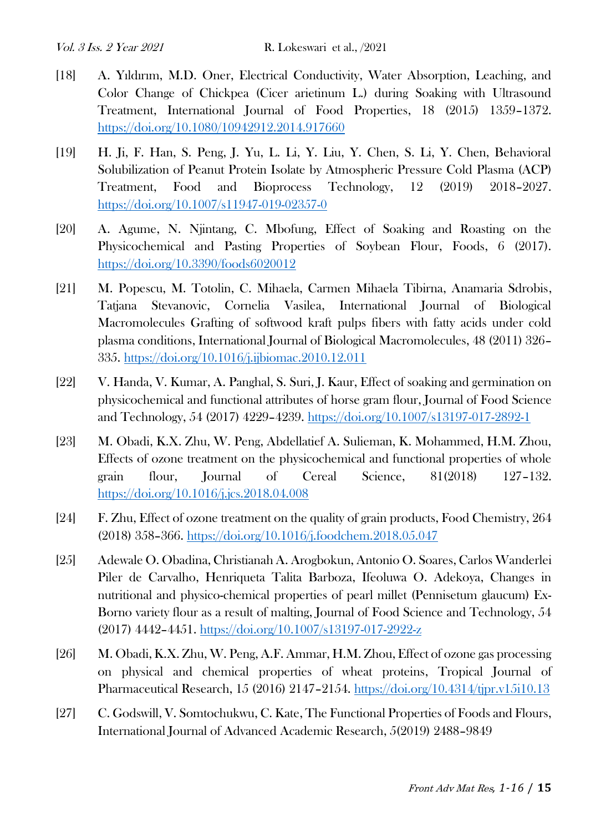- [18] A. Yıldırım, M.D. Oner, Electrical Conductivity, Water Absorption, Leaching, and Color Change of Chickpea (Cicer arietinum L.) during Soaking with Ultrasound Treatment, International Journal of Food Properties, 18 (2015) 1359–1372. <https://doi.org/10.1080/10942912.2014.917660>
- [19] H. Ji, F. Han, S. Peng, J. Yu, L. Li, Y. Liu, Y. Chen, S. Li, Y. Chen, Behavioral Solubilization of Peanut Protein Isolate by Atmospheric Pressure Cold Plasma (ACP) Treatment, Food and Bioprocess Technology, 12 (2019) 2018–2027. <https://doi.org/10.1007/s11947-019-02357-0>
- [20] A. Agume, N. Njintang, C. Mbofung, Effect of Soaking and Roasting on the Physicochemical and Pasting Properties of Soybean Flour, Foods, 6 (2017). <https://doi.org/10.3390/foods6020012>
- [21] M. Popescu, M. Totolin, C. Mihaela, Carmen Mihaela Tibirna, Anamaria Sdrobis, Tatjana Stevanovic, Cornelia Vasilea, International Journal of Biological Macromolecules Grafting of softwood kraft pulps fibers with fatty acids under cold plasma conditions, International Journal of Biological Macromolecules, 48 (2011) 326– 335.<https://doi.org/10.1016/j.ijbiomac.2010.12.011>
- [22] V. Handa, V. Kumar, A. Panghal, S. Suri, J. Kaur, Effect of soaking and germination on physicochemical and functional attributes of horse gram flour, Journal of Food Science and Technology, 54 (2017) 4229–4239.<https://doi.org/10.1007/s13197-017-2892-1>
- [23] M. Obadi, K.X. Zhu, W. Peng, Abdellatief A. Sulieman, K. Mohammed, H.M. Zhou, Effects of ozone treatment on the physicochemical and functional properties of whole grain flour, Journal of Cereal Science, 81(2018) 127–132. <https://doi.org/10.1016/j.jcs.2018.04.008>
- [24] F. Zhu, Effect of ozone treatment on the quality of grain products, Food Chemistry, 264 (2018) 358–366.<https://doi.org/10.1016/j.foodchem.2018.05.047>
- [25] Adewale O. Obadina, Christianah A. Arogbokun, Antonio O. Soares, Carlos Wanderlei Piler de Carvalho, Henriqueta Talita Barboza, Ifeoluwa O. Adekoya, Changes in nutritional and physico-chemical properties of pearl millet (Pennisetum glaucum) Ex-Borno variety flour as a result of malting, Journal of Food Science and Technology, 54 (2017) 4442–4451.<https://doi.org/10.1007/s13197-017-2922-z>
- [26] M. Obadi, K.X. Zhu, W. Peng, A.F. Ammar, H.M. Zhou, Effect of ozone gas processing on physical and chemical properties of wheat proteins, Tropical Journal of Pharmaceutical Research, 15 (2016) 2147–2154.<https://doi.org/10.4314/tjpr.v15i10.13>
- [27] C. Godswill, V. Somtochukwu, C. Kate, The Functional Properties of Foods and Flours, International Journal of Advanced Academic Research, 5(2019) 2488–9849